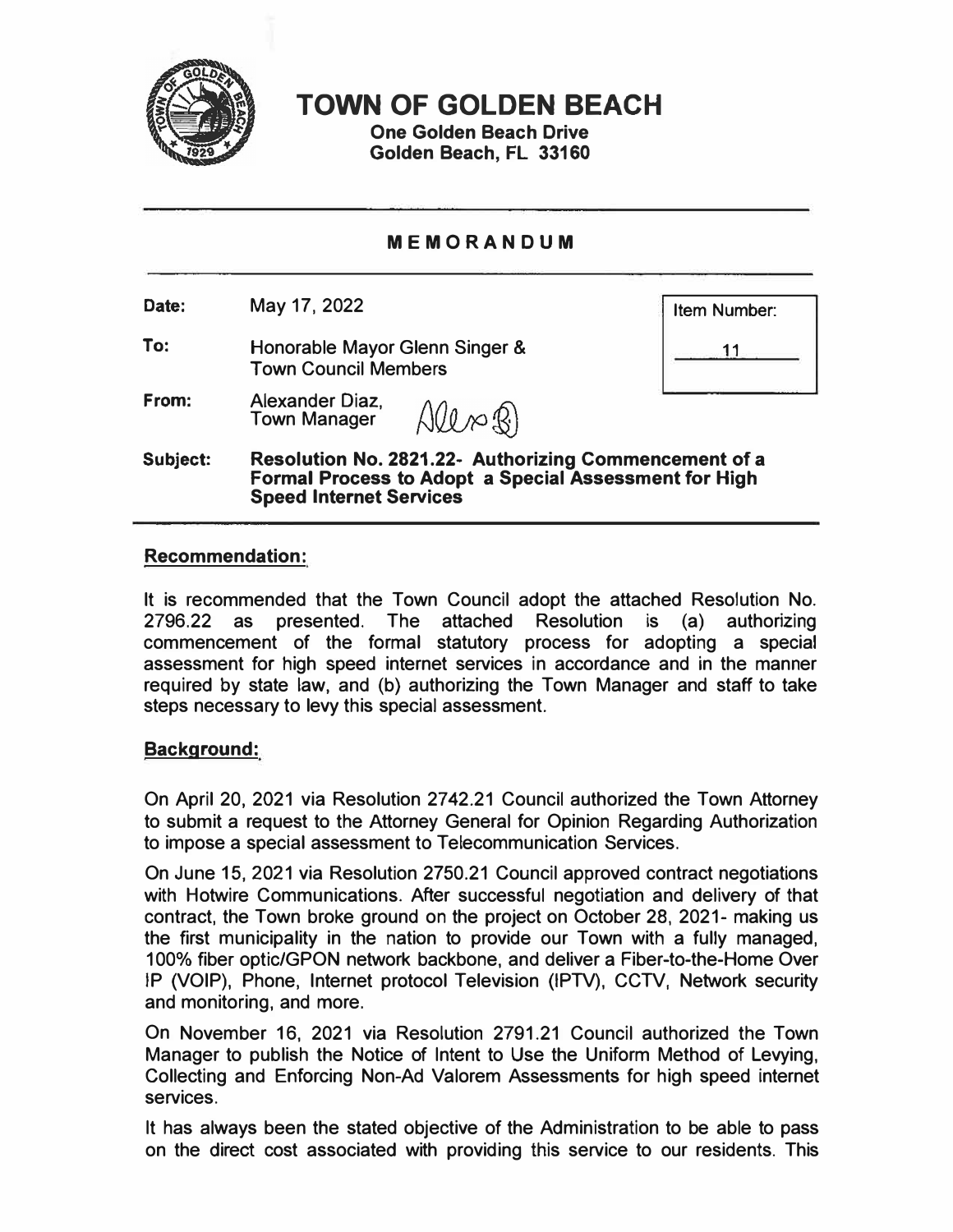

**TOWN OF GOLDEN BEACH** 

**One Golden Beach Drive Golden Beach, FL 33160** 

# **MEMORANDUM**

**Date:**  May 17, 2022

**To:**  Honorable Mayor Glenn Singer & Town Council Members

**Item Number:** 

**11** 

**From:**  Alexander Diaz, Alex B) Town Manager

**Subject: Resolution No. 2821.22- Authorizing Commencement of a Formal Process to Adopt a Special Assessment for High Speed Internet Services** 

## **Recommendation:**

It is recommended that the Town Council adopt the attached Resolution No. 2796.22 as presented. The attached Resolution is (a) authorizing commencement of the formal statutory process for adopting a special assessment for high speed internet services in accordance and in the manner required by state law, and (b) authorizing the Town Manager and staff to take steps necessary to levy this special assessment.

### **Background:**

On April 20, 2021 via Resolution 2742.21 Council authorized the Town Attorney to submit a request to the Attorney General for Opinion Regarding Authorization to impose a special assessment to Telecommunication Services.

On June 15, 2021 via Resolution 2750.21 Council approved contract negotiations with Hotwire Communications. After successful negotiation and delivery of that contract, the Town broke ground on the project on October 28, 2021- making us the first municipality in the nation to provide our Town with a fully managed, 100% fiber optic/GPON network backbone, and deliver a Fiber-to-the-Home Over IP (VOiP), Phone, Internet protocol Television (IPTV), CCTV, Network security and monitoring, and more.

On November 16, 2021 via Resolution 2791.21 Council authorized the Town Manager to publish the Notice of Intent to Use the Uniform Method of Levying, Collecting and Enforcing Non-Ad Valorem Assessments for high speed internet services.

It has always been the stated objective of the Administration to be able to pass on the direct cost associated with providing this service to our residents. This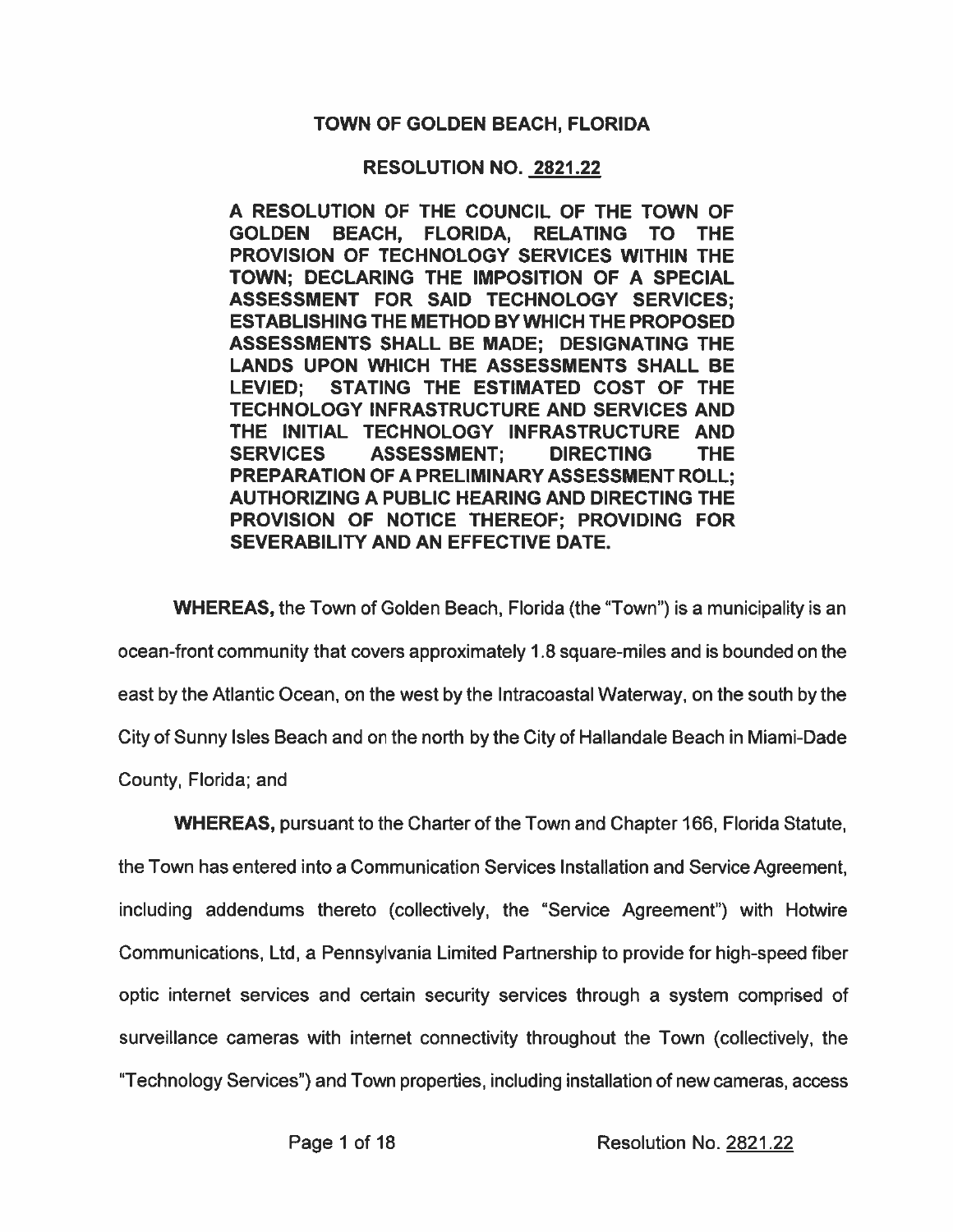## **TOWN OF GOLDEN BEACH, FLORIDA**

### **RESOLUTION NO. 2821.22**

A RESOLUTION OF THE COUNCIL OF THE TOWN OF **GOLDEN** BEACH, FLORIDA, **RELATING TO THE** PROVISION OF TECHNOLOGY SERVICES WITHIN THE TOWN: DECLARING THE IMPOSITION OF A SPECIAL ASSESSMENT FOR SAID TECHNOLOGY SERVICES: **ESTABLISHING THE METHOD BY WHICH THE PROPOSED** ASSESSMENTS SHALL BE MADE: DESIGNATING THE LANDS UPON WHICH THE ASSESSMENTS SHALL BE STATING THE ESTIMATED COST OF THE **LEVIED:** TECHNOLOGY INFRASTRUCTURE AND SERVICES AND THE INITIAL TECHNOLOGY INFRASTRUCTURE AND **SERVICES ASSESSMENT; DIRECTING** THE. **PREPARATION OF A PRELIMINARY ASSESSMENT ROLL: AUTHORIZING A PUBLIC HEARING AND DIRECTING THE** PROVISION OF NOTICE THEREOF: PROVIDING FOR SEVERABILITY AND AN EFFECTIVE DATE.

**WHEREAS, the Town of Golden Beach, Florida (the "Town") is a municipality is an** ocean-front community that covers approximately 1.8 square-miles and is bounded on the east by the Atlantic Ocean, on the west by the Intracoastal Waterway, on the south by the City of Sunny Isles Beach and on the north by the City of Hallandale Beach in Miami-Dade County, Florida; and

**WHEREAS, pursuant to the Charter of the Town and Chapter 166, Florida Statute,** 

the Town has entered into a Communication Services Installation and Service Agreement, including addendums thereto (collectively, the "Service Agreement") with Hotwire Communications, Ltd, a Pennsylvania Limited Partnership to provide for high-speed fiber optic internet services and certain security services through a system comprised of surveillance cameras with internet connectivity throughout the Town (collectively, the "Technology Services") and Town properties, including installation of new cameras, access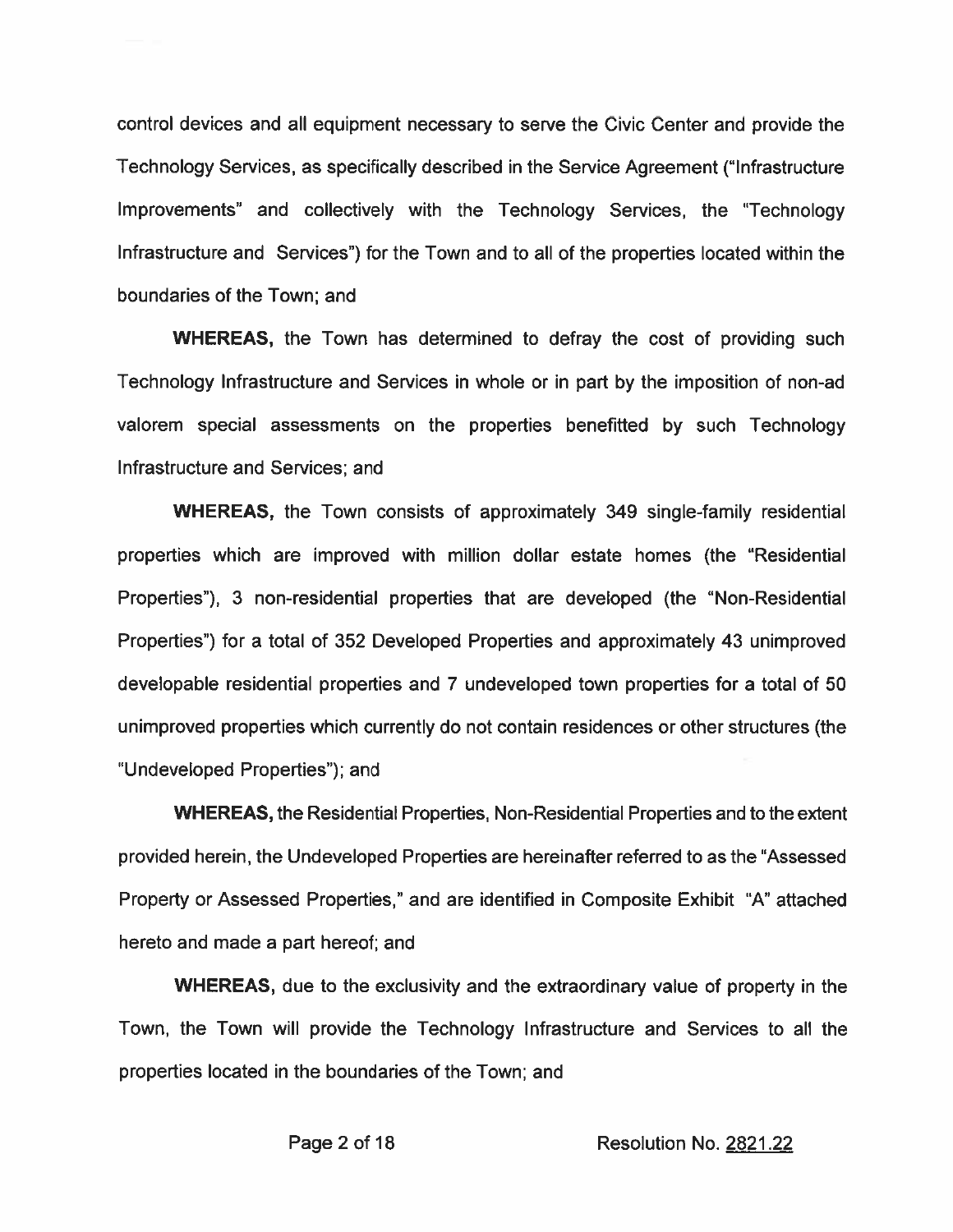control devices and all equipment necessary to serve the Civic Center and provide the Technology Services, as specifically described in the Service Agreement ("Infrastructure") Improvements" and collectively with the Technology Services, the "Technology Infrastructure and Services") for the Town and to all of the properties located within the boundaries of the Town; and

**WHEREAS, the Town has determined to defray the cost of providing such** Technology Infrastructure and Services in whole or in part by the imposition of non-ad valorem special assessments on the properties benefitted by such Technology Infrastructure and Services: and

**WHEREAS, the Town consists of approximately 349 single-family residential** properties which are improved with million dollar estate homes (the "Residential Properties"), 3 non-residential properties that are developed (the "Non-Residential Properties") for a total of 352 Developed Properties and approximately 43 unimproved developable residential properties and 7 undeveloped town properties for a total of 50 unimproved properties which currently do not contain residences or other structures (the "Undeveloped Properties"); and

**WHEREAS, the Residential Properties, Non-Residential Properties and to the extent** provided herein, the Undeveloped Properties are hereinafter referred to as the "Assessed Property or Assessed Properties," and are identified in Composite Exhibit "A" attached hereto and made a part hereof; and

**WHEREAS**, due to the exclusivity and the extraordinary value of property in the Town, the Town will provide the Technology Infrastructure and Services to all the properties located in the boundaries of the Town; and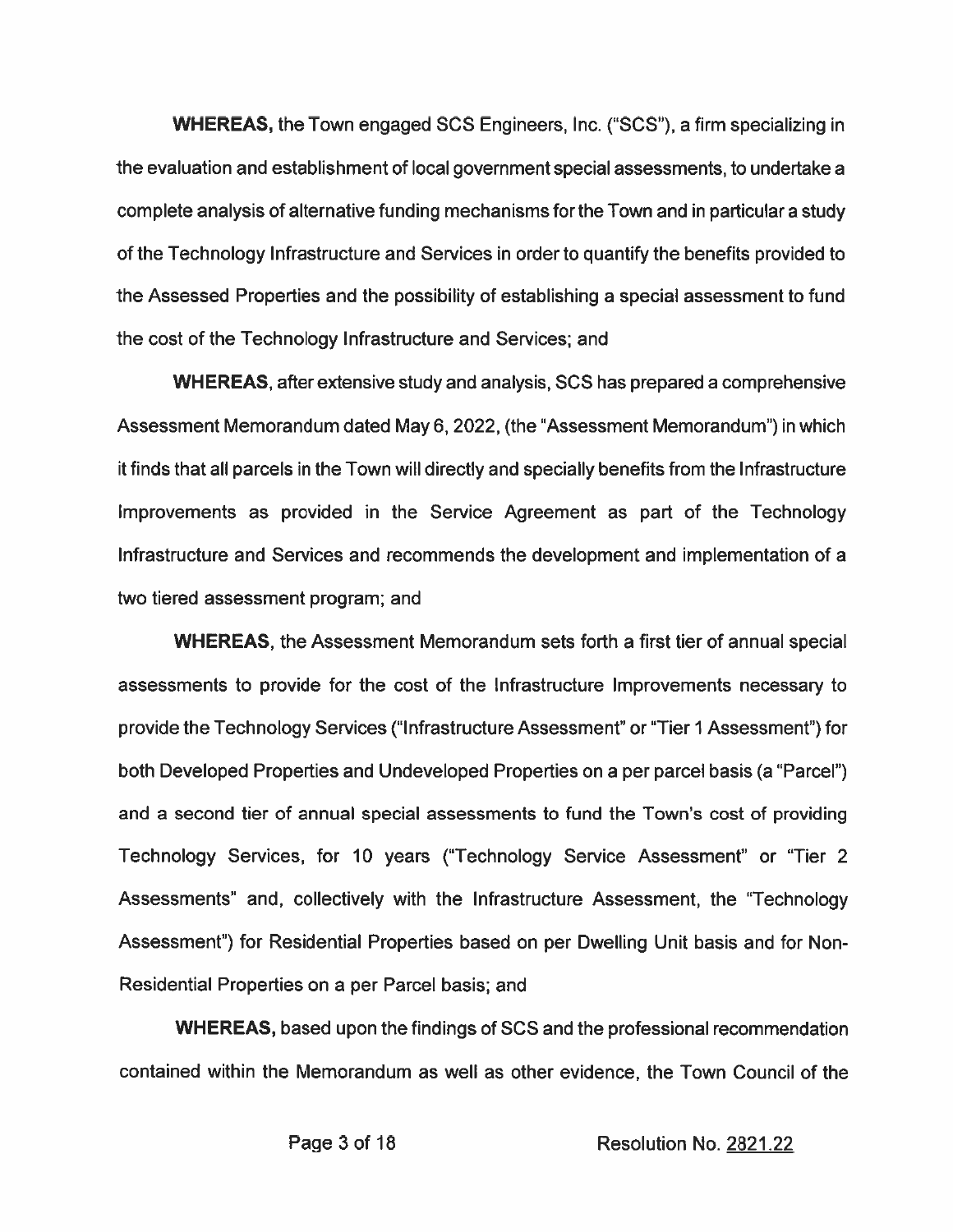**WHEREAS, the Town engaged SCS Engineers, Inc. ("SCS"), a firm specializing in** the evaluation and establishment of local government special assessments, to undertake a complete analysis of alternative funding mechanisms for the Town and in particular a study of the Technology Infrastructure and Services in order to quantify the benefits provided to the Assessed Properties and the possibility of establishing a special assessment to fund the cost of the Technology Infrastructure and Services; and

**WHEREAS, after extensive study and analysis, SCS has prepared a comprehensive** Assessment Memorandum dated May 6, 2022, (the "Assessment Memorandum") in which it finds that all parcels in the Town will directly and specially benefits from the Infrastructure Improvements as provided in the Service Agreement as part of the Technology Infrastructure and Services and recommends the development and implementation of a two tiered assessment program; and

**WHEREAS, the Assessment Memorandum sets forth a first tier of annual special** assessments to provide for the cost of the Infrastructure Improvements necessary to provide the Technology Services ("Infrastructure Assessment" or "Tier 1 Assessment") for both Developed Properties and Undeveloped Properties on a per parcel basis (a "Parcel") and a second tier of annual special assessments to fund the Town's cost of providing Technology Services, for 10 years ("Technology Service Assessment" or "Tier 2 Assessments" and, collectively with the Infrastructure Assessment, the "Technology" Assessment") for Residential Properties based on per Dwelling Unit basis and for Non-Residential Properties on a per Parcel basis; and

**WHEREAS, based upon the findings of SCS and the professional recommendation** contained within the Memorandum as well as other evidence, the Town Council of the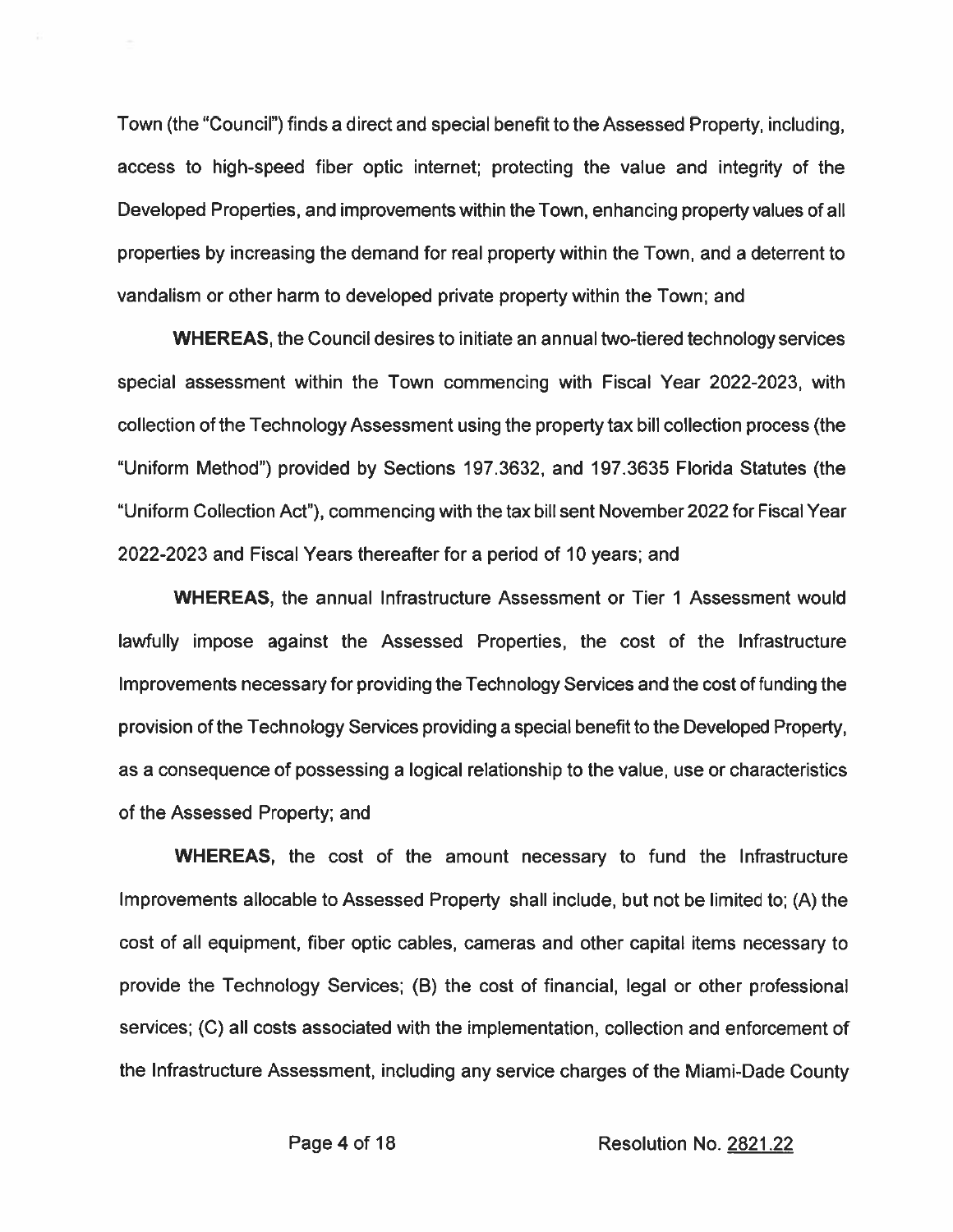Town (the "Council") finds a direct and special benefit to the Assessed Property, including. access to high-speed fiber optic internet; protecting the value and integrity of the Developed Properties, and improvements within the Town, enhancing property values of all properties by increasing the demand for real property within the Town, and a deterrent to vandalism or other harm to developed private property within the Town; and

**WHEREAS, the Council desires to initiate an annual two-tiered technology services** special assessment within the Town commencing with Fiscal Year 2022-2023, with collection of the Technology Assessment using the property tax bill collection process (the "Uniform Method") provided by Sections 197.3632, and 197.3635 Florida Statutes (the "Uniform Collection Act"), commencing with the tax bill sent November 2022 for Fiscal Year 2022-2023 and Fiscal Years thereafter for a period of 10 years; and

**WHEREAS, the annual Infrastructure Assessment or Tier 1 Assessment would** lawfully impose against the Assessed Properties, the cost of the Infrastructure Improvements necessary for providing the Technology Services and the cost of funding the provision of the Technology Services providing a special benefit to the Developed Property, as a consequence of possessing a logical relationship to the value, use or characteristics of the Assessed Property; and

**WHEREAS, the cost of the amount necessary to fund the Infrastructure** Improvements allocable to Assessed Property shall include, but not be limited to; (A) the cost of all equipment, fiber optic cables, cameras and other capital items necessary to provide the Technology Services; (B) the cost of financial, legal or other professional services; (C) all costs associated with the implementation, collection and enforcement of the Infrastructure Assessment, including any service charges of the Miami-Dade County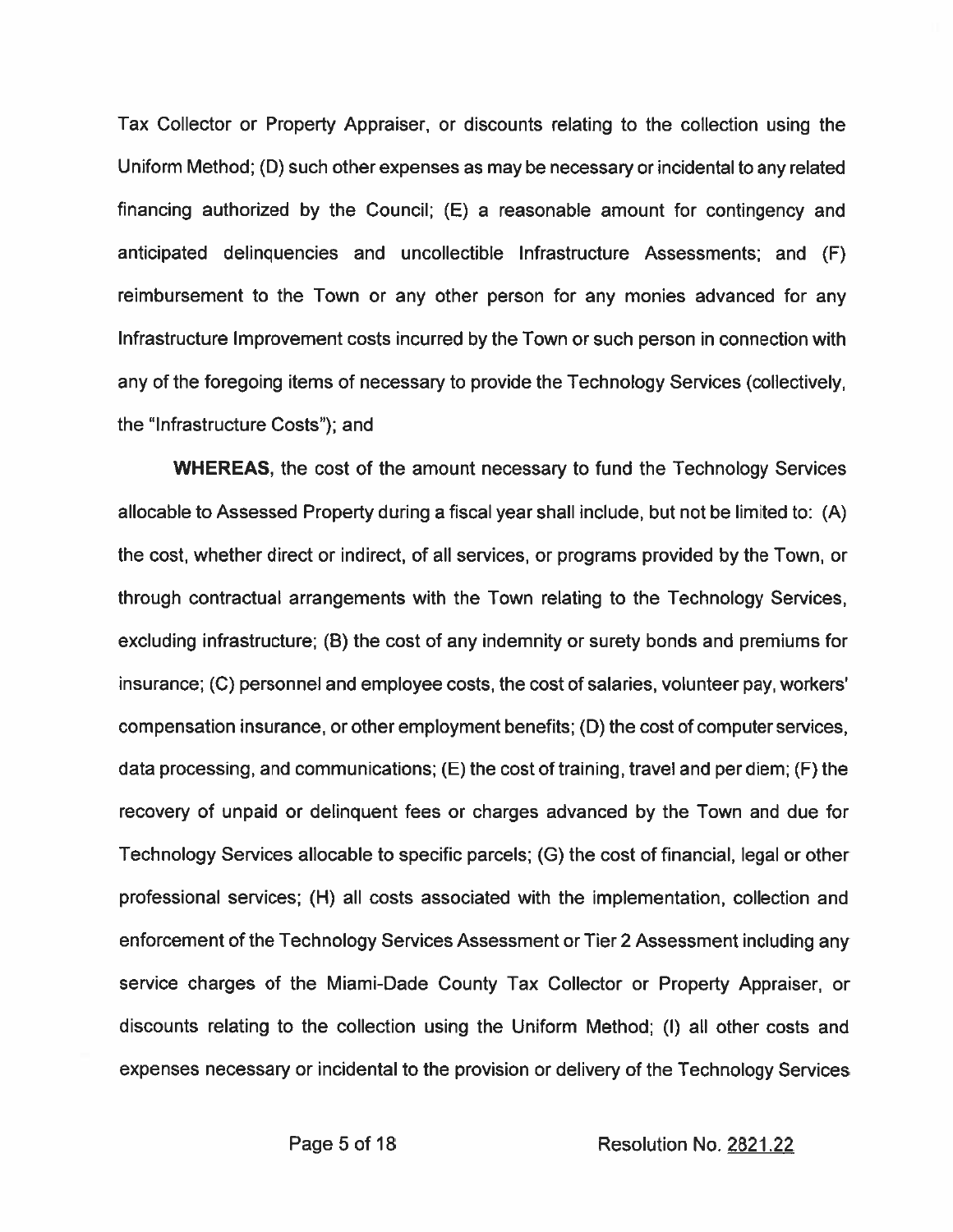Tax Collector or Property Appraiser, or discounts relating to the collection using the Uniform Method; (D) such other expenses as may be necessary or incidental to any related financing authorized by the Council; (E) a reasonable amount for contingency and anticipated delinquencies and uncollectible Infrastructure Assessments; and (F) reimbursement to the Town or any other person for any monies advanced for any Infrastructure Improvement costs incurred by the Town or such person in connection with any of the foregoing items of necessary to provide the Technology Services (collectively, the "Infrastructure Costs"); and

**WHEREAS, the cost of the amount necessary to fund the Technology Services** allocable to Assessed Property during a fiscal year shall include, but not be limited to: (A) the cost, whether direct or indirect, of all services, or programs provided by the Town, or through contractual arrangements with the Town relating to the Technology Services, excluding infrastructure; (B) the cost of any indemnity or surety bonds and premiums for insurance; (C) personnel and employee costs, the cost of salaries, volunteer pay, workers' compensation insurance, or other employment benefits; (D) the cost of computer services, data processing, and communications; (E) the cost of training, travel and per diem; (F) the recovery of unpaid or delinquent fees or charges advanced by the Town and due for Technology Services allocable to specific parcels; (G) the cost of financial, legal or other professional services; (H) all costs associated with the implementation, collection and enforcement of the Technology Services Assessment or Tier 2 Assessment including any service charges of the Miami-Dade County Tax Collector or Property Appraiser, or discounts relating to the collection using the Uniform Method; (I) all other costs and expenses necessary or incidental to the provision or delivery of the Technology Services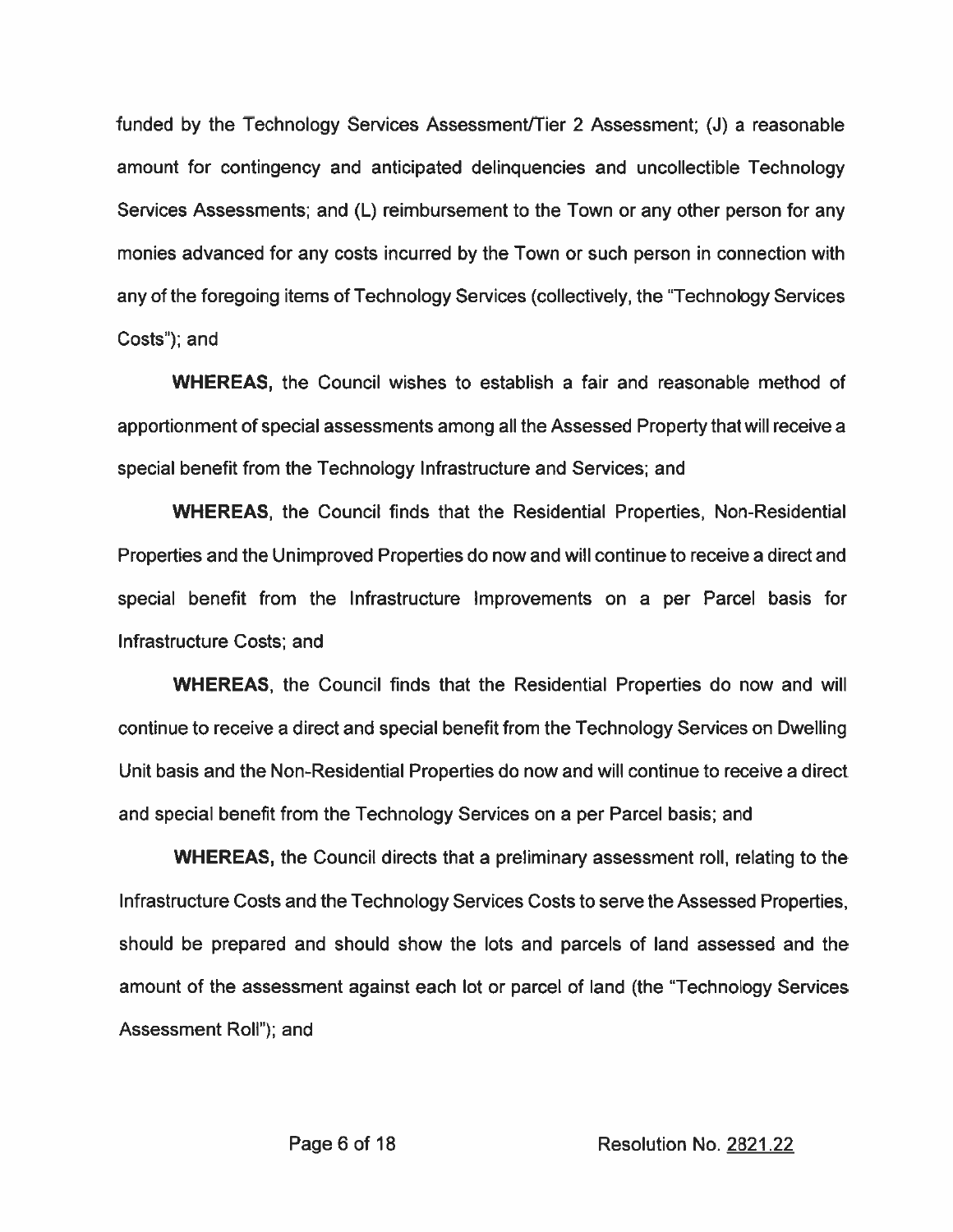funded by the Technology Services Assessment/Tier 2 Assessment; (J) a reasonable amount for contingency and anticipated delinquencies and uncollectible Technology Services Assessments; and (L) reimbursement to the Town or any other person for any monies advanced for any costs incurred by the Town or such person in connection with any of the foregoing items of Technology Services (collectively, the "Technology Services" Costs"); and

**WHEREAS**, the Council wishes to establish a fair and reasonable method of apportionment of special assessments among all the Assessed Property that will receive a special benefit from the Technology Infrastructure and Services; and

**WHEREAS, the Council finds that the Residential Properties, Non-Residential** Properties and the Unimproved Properties do now and will continue to receive a direct and special benefit from the Infrastructure Improvements on a per Parcel basis for Infrastructure Costs: and

**WHEREAS, the Council finds that the Residential Properties do now and will** continue to receive a direct and special benefit from the Technology Services on Dwelling Unit basis and the Non-Residential Properties do now and will continue to receive a direct and special benefit from the Technology Services on a per Parcel basis; and

**WHEREAS, the Council directs that a preliminary assessment roll, relating to the** Infrastructure Costs and the Technology Services Costs to serve the Assessed Properties. should be prepared and should show the lots and parcels of land assessed and the amount of the assessment against each lot or parcel of land (the "Technology Services" Assessment Roll"); and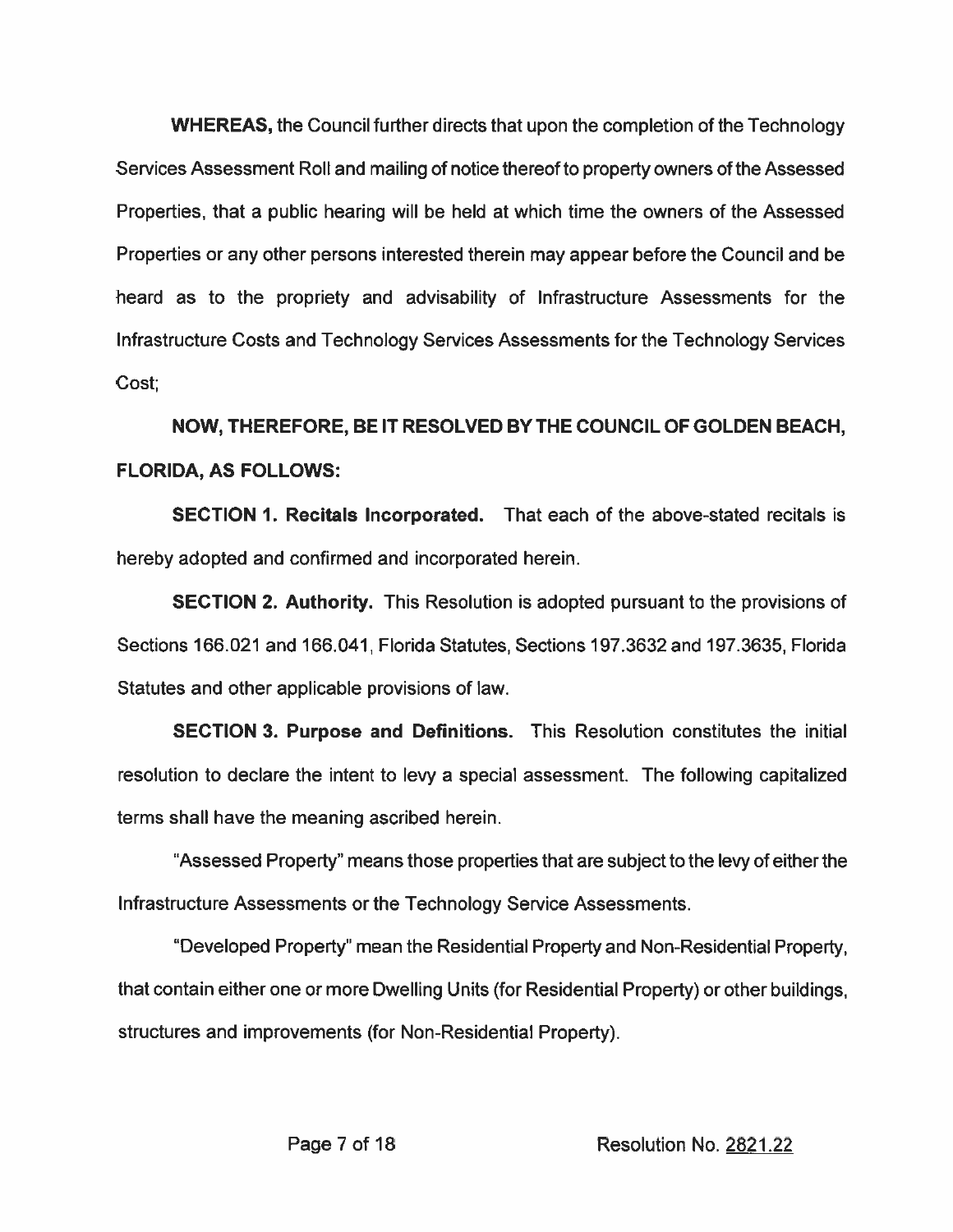**WHEREAS, the Council further directs that upon the completion of the Technology** Services Assessment Roll and mailing of notice thereof to property owners of the Assessed Properties, that a public hearing will be held at which time the owners of the Assessed Properties or any other persons interested therein may appear before the Council and be heard as to the propriety and advisability of Infrastructure Assessments for the Infrastructure Costs and Technology Services Assessments for the Technology Services Cost:

NOW, THEREFORE, BE IT RESOLVED BY THE COUNCIL OF GOLDEN BEACH, **FLORIDA, AS FOLLOWS:** 

**SECTION 1. Recitals Incorporated.** That each of the above-stated recitals is hereby adopted and confirmed and incorporated herein.

**SECTION 2. Authority.** This Resolution is adopted pursuant to the provisions of Sections 166.021 and 166.041, Florida Statutes, Sections 197.3632 and 197.3635, Florida Statutes and other applicable provisions of law.

**SECTION 3. Purpose and Definitions.** This Resolution constitutes the initial resolution to declare the intent to levy a special assessment. The following capitalized terms shall have the meaning ascribed herein.

"Assessed Property" means those properties that are subject to the levy of either the Infrastructure Assessments or the Technology Service Assessments.

"Developed Property" mean the Residential Property and Non-Residential Property, that contain either one or more Dwelling Units (for Residential Property) or other buildings, structures and improvements (for Non-Residential Property).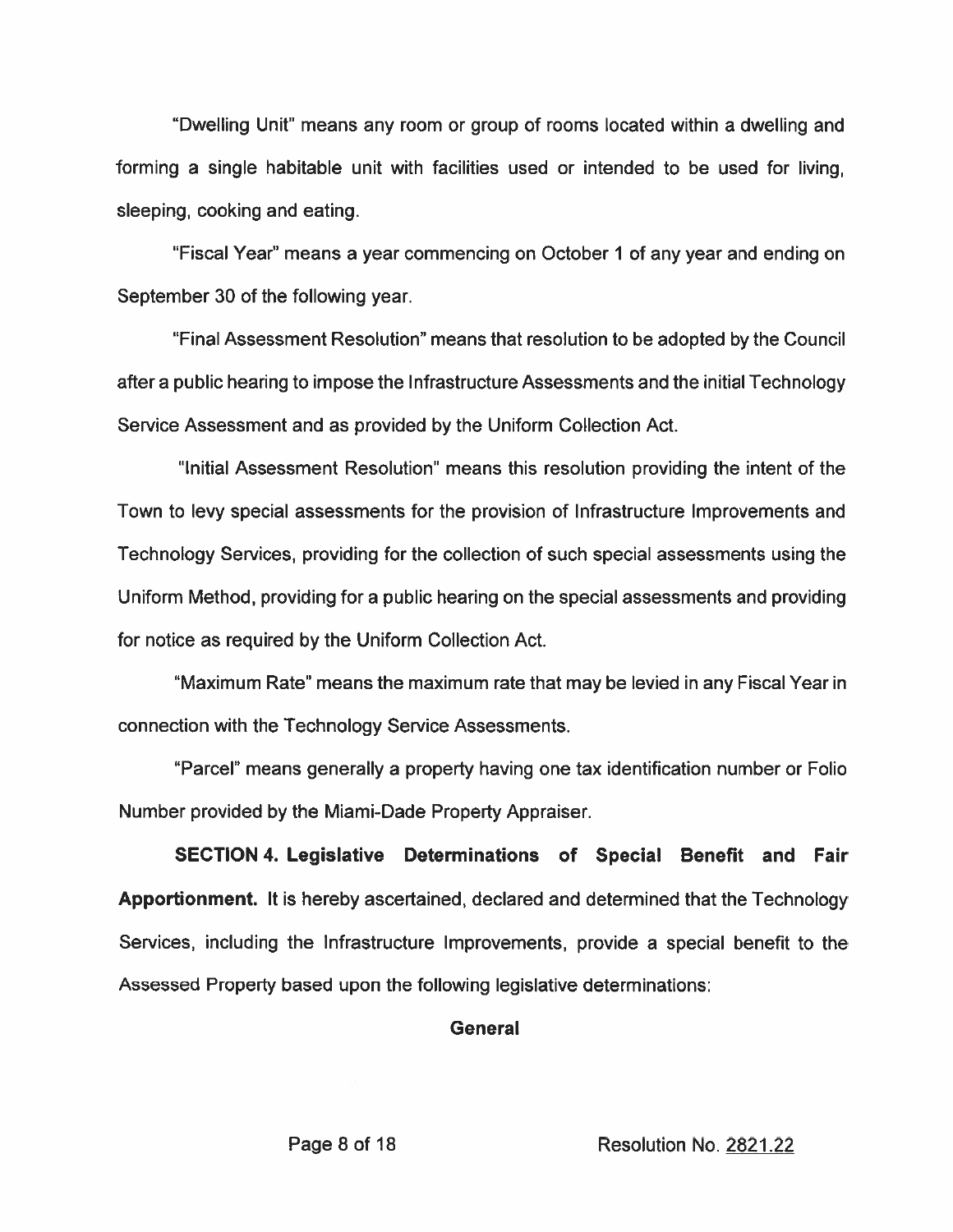"Dwelling Unit" means any room or group of rooms located within a dwelling and forming a single habitable unit with facilities used or intended to be used for living. sleeping, cooking and eating.

"Fiscal Year" means a year commencing on October 1 of any year and ending on September 30 of the following year.

"Final Assessment Resolution" means that resolution to be adopted by the Council after a public hearing to impose the Infrastructure Assessments and the initial Technology Service Assessment and as provided by the Uniform Collection Act.

"Initial Assessment Resolution" means this resolution providing the intent of the Town to levy special assessments for the provision of Infrastructure Improvements and Technology Services, providing for the collection of such special assessments using the Uniform Method, providing for a public hearing on the special assessments and providing for notice as required by the Uniform Collection Act.

"Maximum Rate" means the maximum rate that may be levied in any Fiscal Year in connection with the Technology Service Assessments.

"Parcel" means generally a property having one tax identification number or Folio Number provided by the Miami-Dade Property Appraiser.

SECTION 4. Legislative Determinations of Special Benefit and Fair Apportionment. It is hereby ascertained, declared and determined that the Technology Services, including the Infrastructure Improvements, provide a special benefit to the Assessed Property based upon the following legislative determinations:

## **General**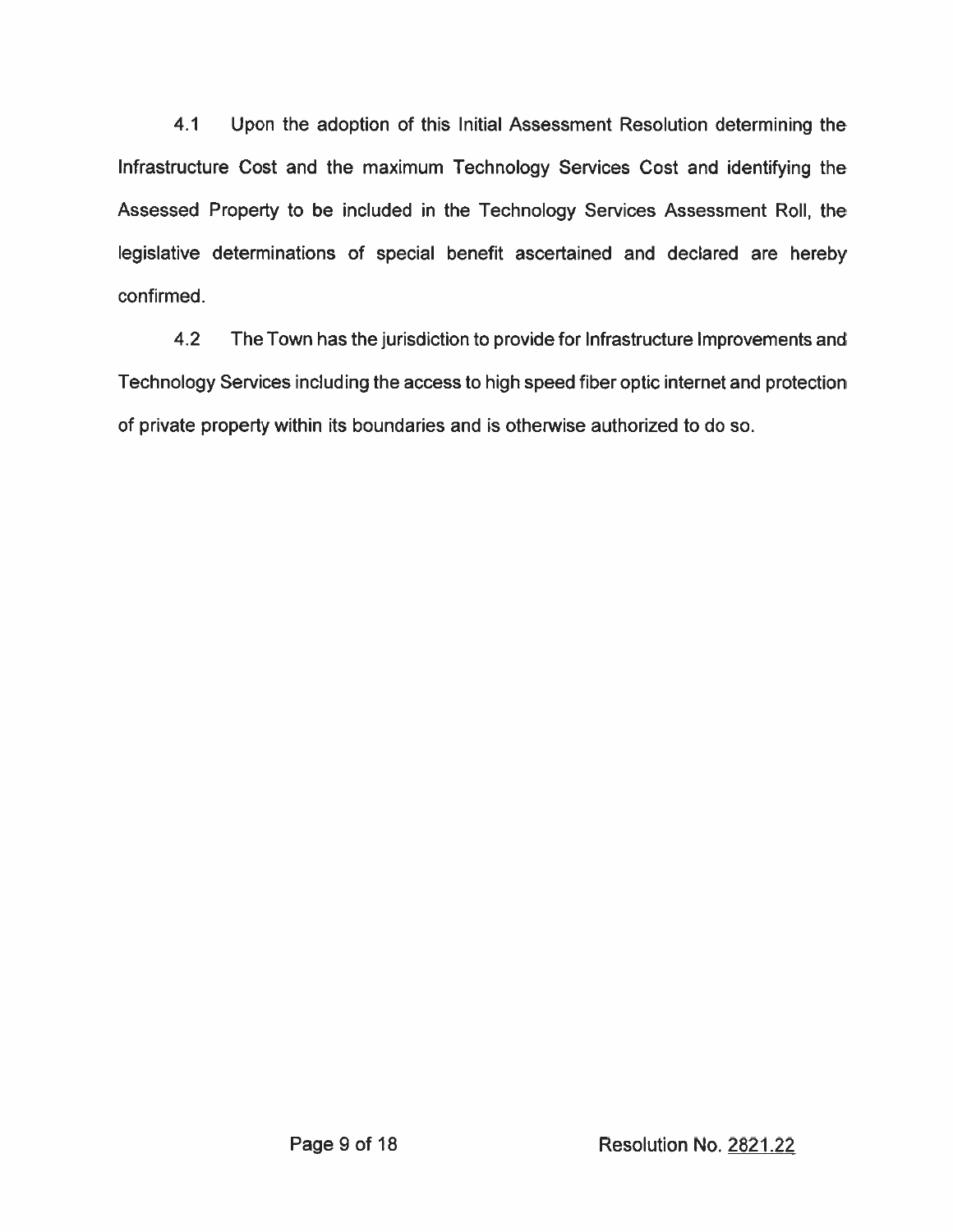$4.1$ Upon the adoption of this Initial Assessment Resolution determining the Infrastructure Cost and the maximum Technology Services Cost and identifying the Assessed Property to be included in the Technology Services Assessment Roll, the legislative determinations of special benefit ascertained and declared are hereby confirmed.

 $4.2$ The Town has the jurisdiction to provide for Infrastructure Improvements and Technology Services including the access to high speed fiber optic internet and protection of private property within its boundaries and is otherwise authorized to do so.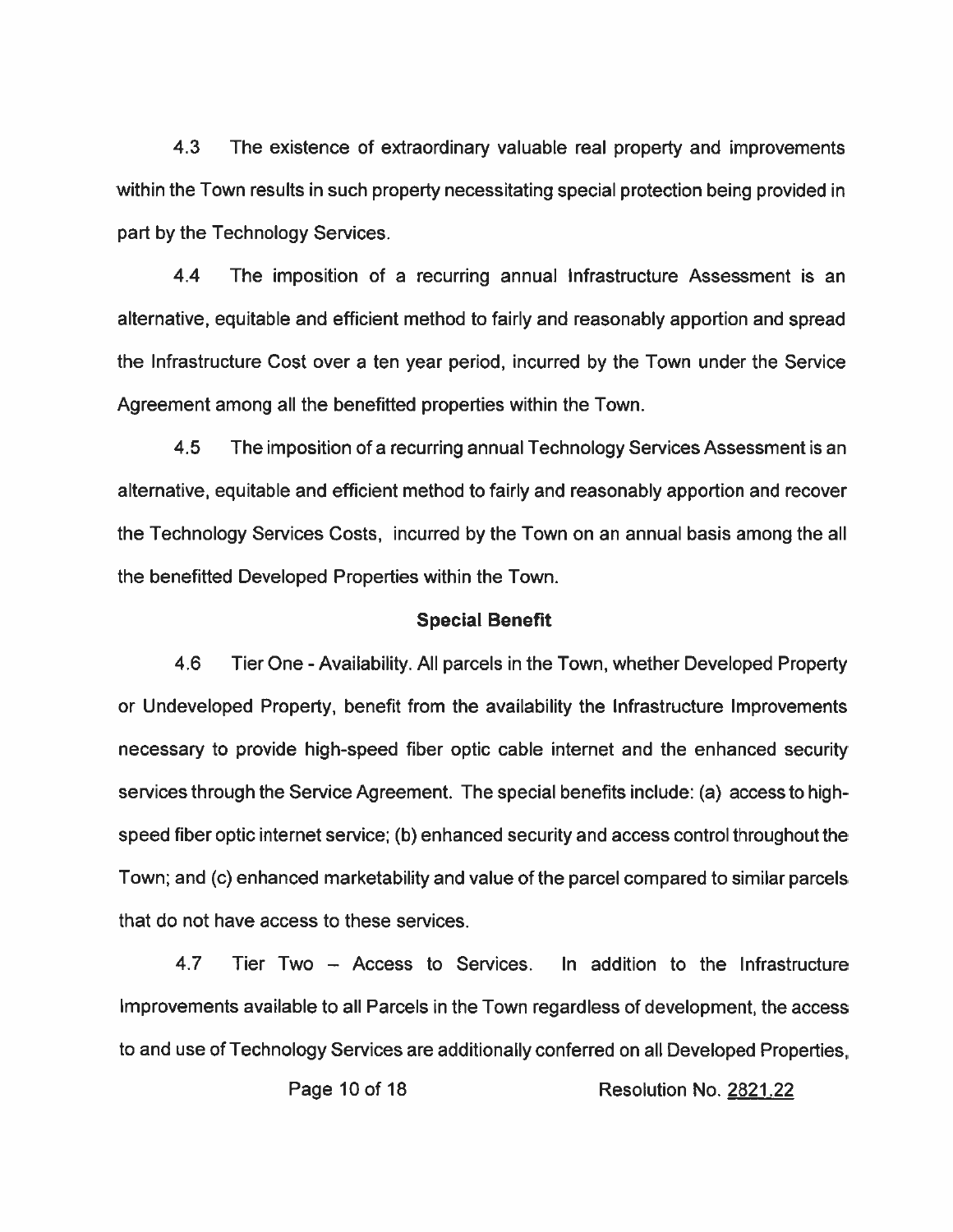$4.3$ The existence of extraordinary valuable real property and improvements within the Town results in such property necessitating special protection being provided in part by the Technology Services.

 $4.4$ The imposition of a recurring annual infrastructure Assessment is an alternative, equitable and efficient method to fairly and reasonably apportion and spread the Infrastructure Cost over a ten year period, incurred by the Town under the Service Agreement among all the benefitted properties within the Town.

 $4.5$ The imposition of a recurring annual Technology Services Assessment is an alternative, equitable and efficient method to fairly and reasonably apportion and recover the Technology Services Costs, incurred by the Town on an annual basis among the all the benefitted Developed Properties within the Town.

#### **Special Benefit**

4.6 Tier One - Availability. All parcels in the Town, whether Developed Property or Undeveloped Property, benefit from the availability the Infrastructure Improvements necessary to provide high-speed fiber optic cable internet and the enhanced security services through the Service Agreement. The special benefits include: (a) access to highspeed fiber optic internet service; (b) enhanced security and access control throughout the Town; and (c) enhanced marketability and value of the parcel compared to similar parcels that do not have access to these services.

4.7 Tier Two - Access to Services. In addition to the Infrastructure Improvements available to all Parcels in the Town regardless of development, the access to and use of Technology Services are additionally conferred on all Developed Properties.

Page 10 of 18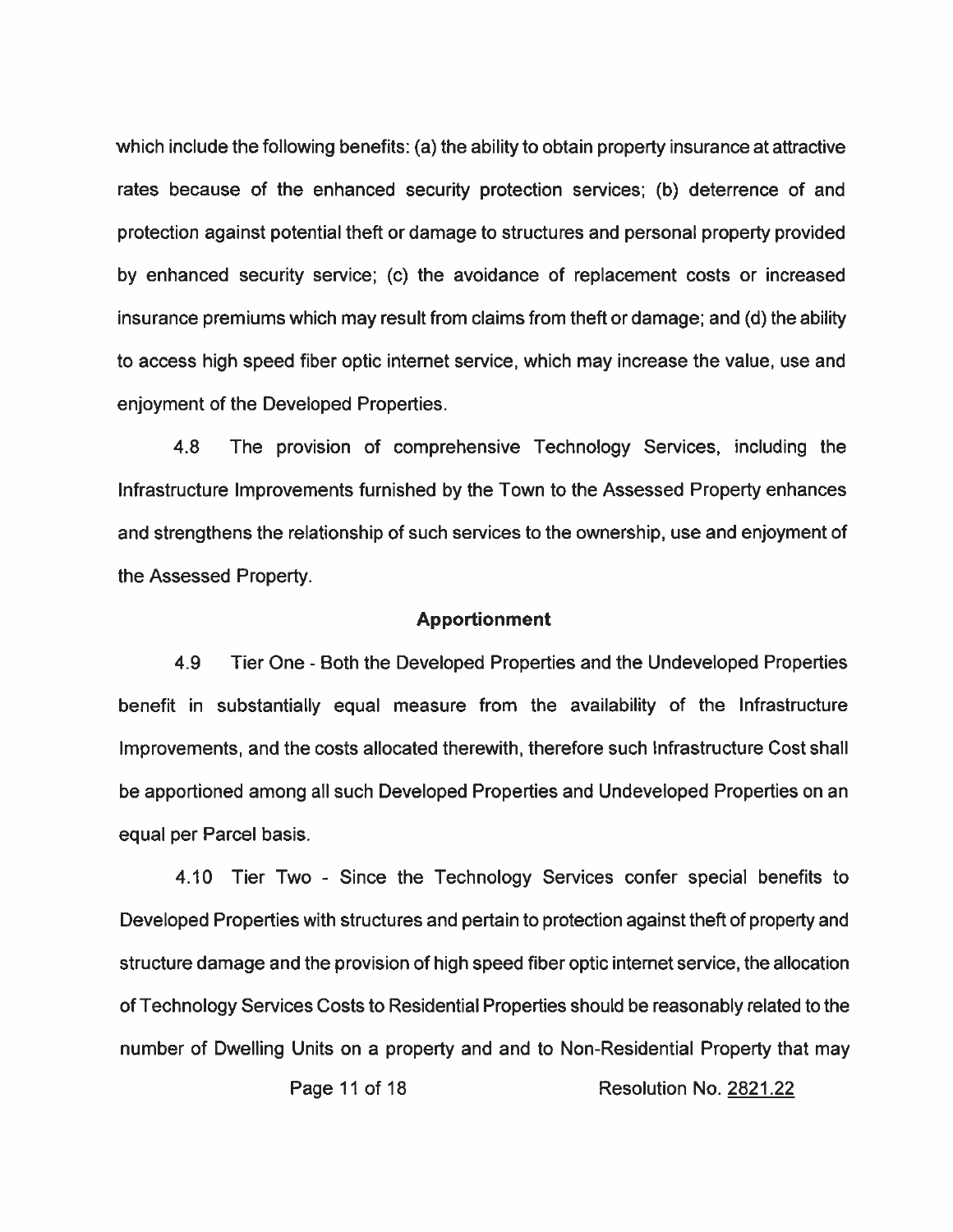which include the following benefits: (a) the ability to obtain property insurance at attractive rates because of the enhanced security protection services; (b) deterrence of and protection against potential theft or damage to structures and personal property provided by enhanced security service; (c) the avoidance of replacement costs or increased insurance premiums which may result from claims from theft or damage; and (d) the ability to access high speed fiber optic internet service, which may increase the value, use and enjoyment of the Developed Properties.

4.8 The provision of comprehensive Technology Services, including the Infrastructure Improvements furnished by the Town to the Assessed Property enhances and strengthens the relationship of such services to the ownership, use and enjoyment of the Assessed Property.

### **Apportionment**

4.9 Tier One - Both the Developed Properties and the Undeveloped Properties benefit in substantially equal measure from the availability of the Infrastructure Improvements, and the costs allocated therewith, therefore such Infrastructure Cost shall be apportioned among all such Developed Properties and Undeveloped Properties on an equal per Parcel basis.

4.10 Tier Two - Since the Technology Services confer special benefits to Developed Properties with structures and pertain to protection against theft of property and structure damage and the provision of high speed fiber optic internet service, the allocation of Technology Services Costs to Residential Properties should be reasonably related to the number of Dwelling Units on a property and and to Non-Residential Property that may

Page 11 of 18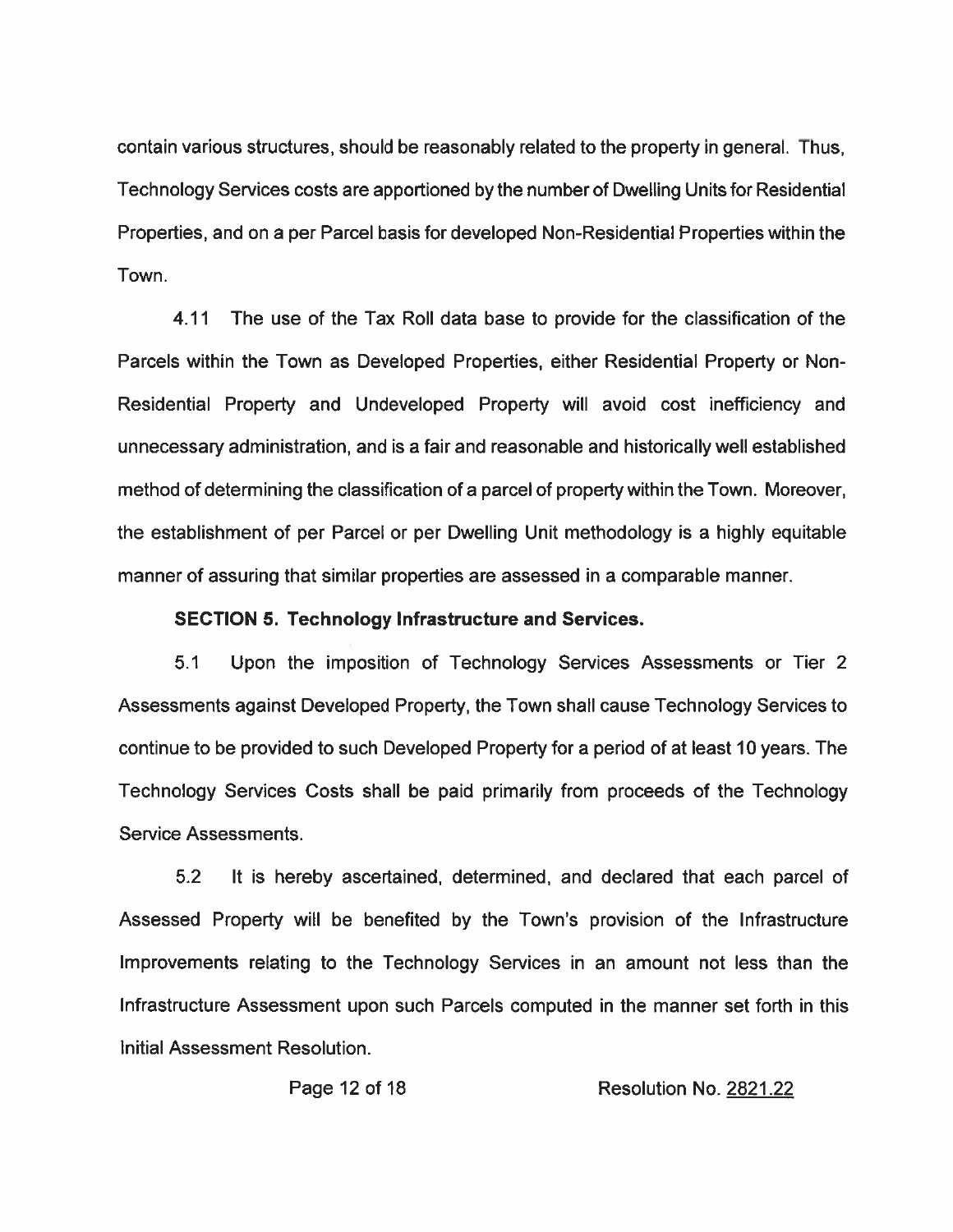contain various structures, should be reasonably related to the property in general. Thus, Technology Services costs are apportioned by the number of Dwelling Units for Residential Properties, and on a per Parcel basis for developed Non-Residential Properties within the Town.

4.11 The use of the Tax Roll data base to provide for the classification of the Parcels within the Town as Developed Properties, either Residential Property or Non-Residential Property and Undeveloped Property will avoid cost inefficiency and unnecessary administration, and is a fair and reasonable and historically well established method of determining the classification of a parcel of property within the Town. Moreover, the establishment of per Parcel or per Dwelling Unit methodology is a highly equitable manner of assuring that similar properties are assessed in a comparable manner.

#### **SECTION 5. Technology Infrastructure and Services.**

 $5.1$ Upon the imposition of Technology Services Assessments or Tier 2 Assessments against Developed Property, the Town shall cause Technology Services to continue to be provided to such Developed Property for a period of at least 10 years. The Technology Services Costs shall be paid primarily from proceeds of the Technology Service Assessments.

 $5.2$ It is hereby ascertained, determined, and declared that each parcel of Assessed Property will be benefited by the Town's provision of the Infrastructure Improvements relating to the Technology Services in an amount not less than the Infrastructure Assessment upon such Parcels computed in the manner set forth in this Initial Assessment Resolution.

Page 12 of 18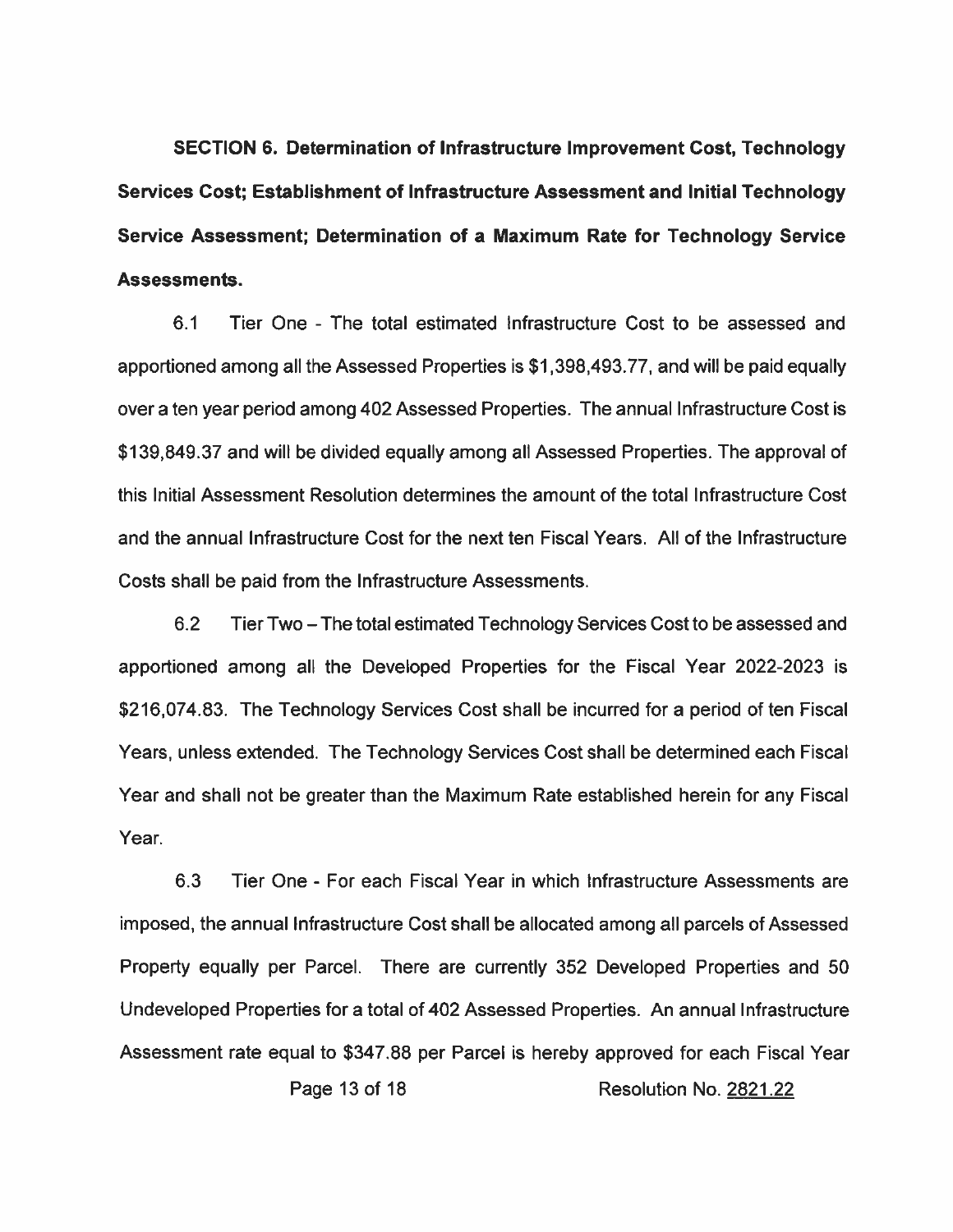SECTION 6. Determination of Infrastructure Improvement Cost, Technology Services Cost; Establishment of Infrastructure Assessment and Initial Technology Service Assessment; Determination of a Maximum Rate for Technology Service Assessments.

 $6.1$ Tier One - The total estimated infrastructure Cost to be assessed and apportioned among all the Assessed Properties is \$1,398,493.77, and will be paid equally over a ten year period among 402 Assessed Properties. The annual Infrastructure Cost is \$139,849.37 and will be divided equally among all Assessed Properties. The approval of this Initial Assessment Resolution determines the amount of the total Infrastructure Cost and the annual Infrastructure Cost for the next ten Fiscal Years. All of the Infrastructure Costs shall be paid from the Infrastructure Assessments.

 $6.2$ Tier Two – The total estimated Technology Services Cost to be assessed and apportioned among all the Developed Properties for the Fiscal Year 2022-2023 is \$216,074.83. The Technology Services Cost shall be incurred for a period of ten Fiscal Years, unless extended. The Technology Services Cost shall be determined each Fiscal Year and shall not be greater than the Maximum Rate established herein for any Fiscal Year

 $6.3$ Tier One - For each Fiscal Year in which Infrastructure Assessments are imposed, the annual Infrastructure Cost shall be allocated among all parcels of Assessed Property equally per Parcel. There are currently 352 Developed Properties and 50 Undeveloped Properties for a total of 402 Assessed Properties. An annual Infrastructure Assessment rate equal to \$347.88 per Parcel is hereby approved for each Fiscal Year Page 13 of 18 Resolution No. 2821.22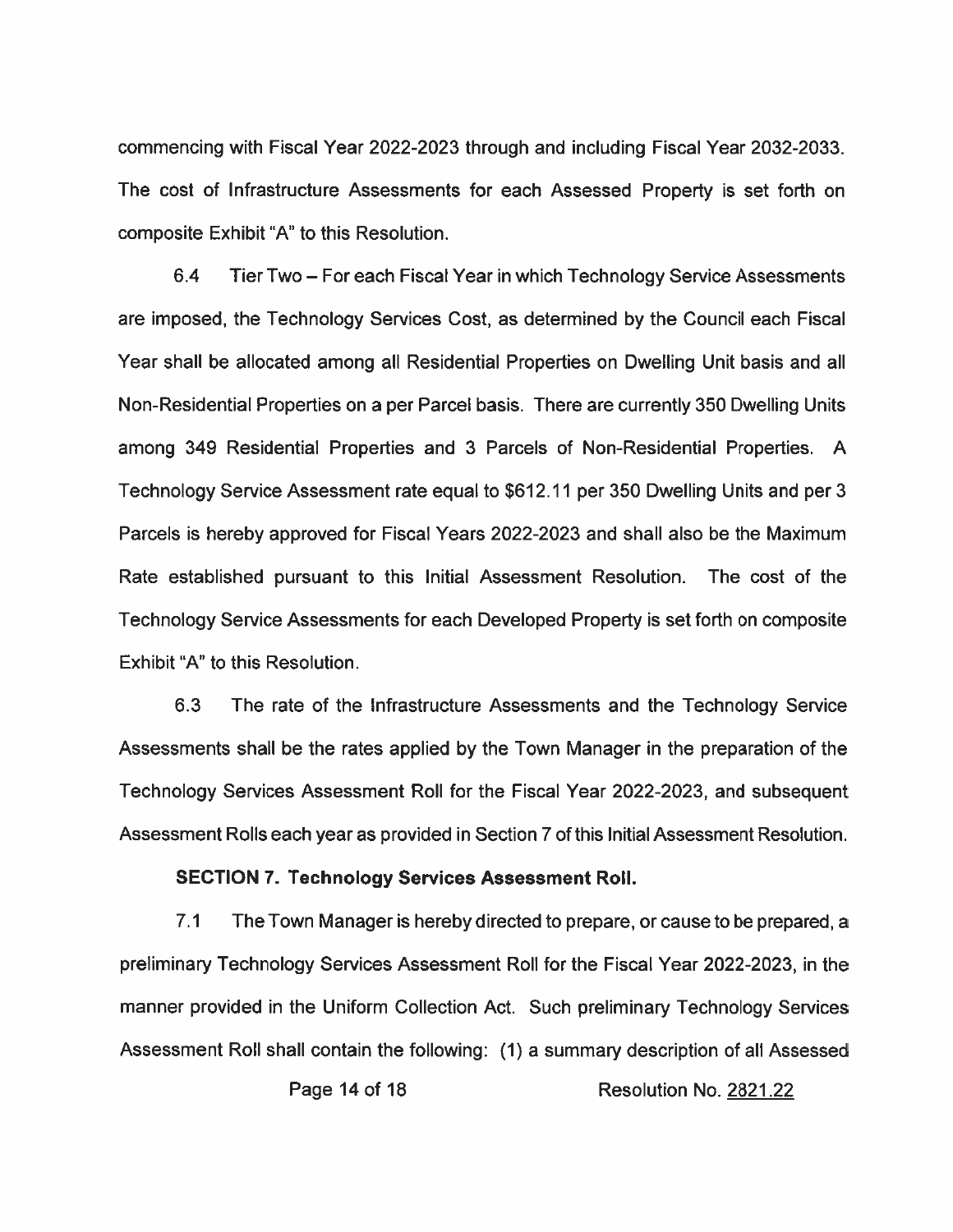commencing with Fiscal Year 2022-2023 through and including Fiscal Year 2032-2033. The cost of Infrastructure Assessments for each Assessed Property is set forth on composite Exhibit "A" to this Resolution.

6.4 Tier Two - For each Fiscal Year in which Technology Service Assessments are imposed, the Technology Services Cost, as determined by the Council each Fiscal Year shall be allocated among all Residential Properties on Dwelling Unit basis and all Non-Residential Properties on a per Parcel basis. There are currently 350 Dwelling Units among 349 Residential Properties and 3 Parcels of Non-Residential Properties. A Technology Service Assessment rate equal to \$612.11 per 350 Dwelling Units and per 3 Parcels is hereby approved for Fiscal Years 2022-2023 and shall also be the Maximum Rate established pursuant to this Initial Assessment Resolution. The cost of the Technology Service Assessments for each Developed Property is set forth on composite Exhibit "A" to this Resolution.

 $6.3$ The rate of the Infrastructure Assessments and the Technology Service Assessments shall be the rates applied by the Town Manager in the preparation of the Technology Services Assessment Roll for the Fiscal Year 2022-2023, and subsequent Assessment Rolls each year as provided in Section 7 of this Initial Assessment Resolution.

#### **SECTION 7. Technology Services Assessment Roll.**

 $7.1$ The Town Manager is hereby directed to prepare, or cause to be prepared, a preliminary Technology Services Assessment Roll for the Fiscal Year 2022-2023, in the manner provided in the Uniform Collection Act. Such preliminary Technology Services Assessment Roll shall contain the following: (1) a summary description of all Assessed

Page 14 of 18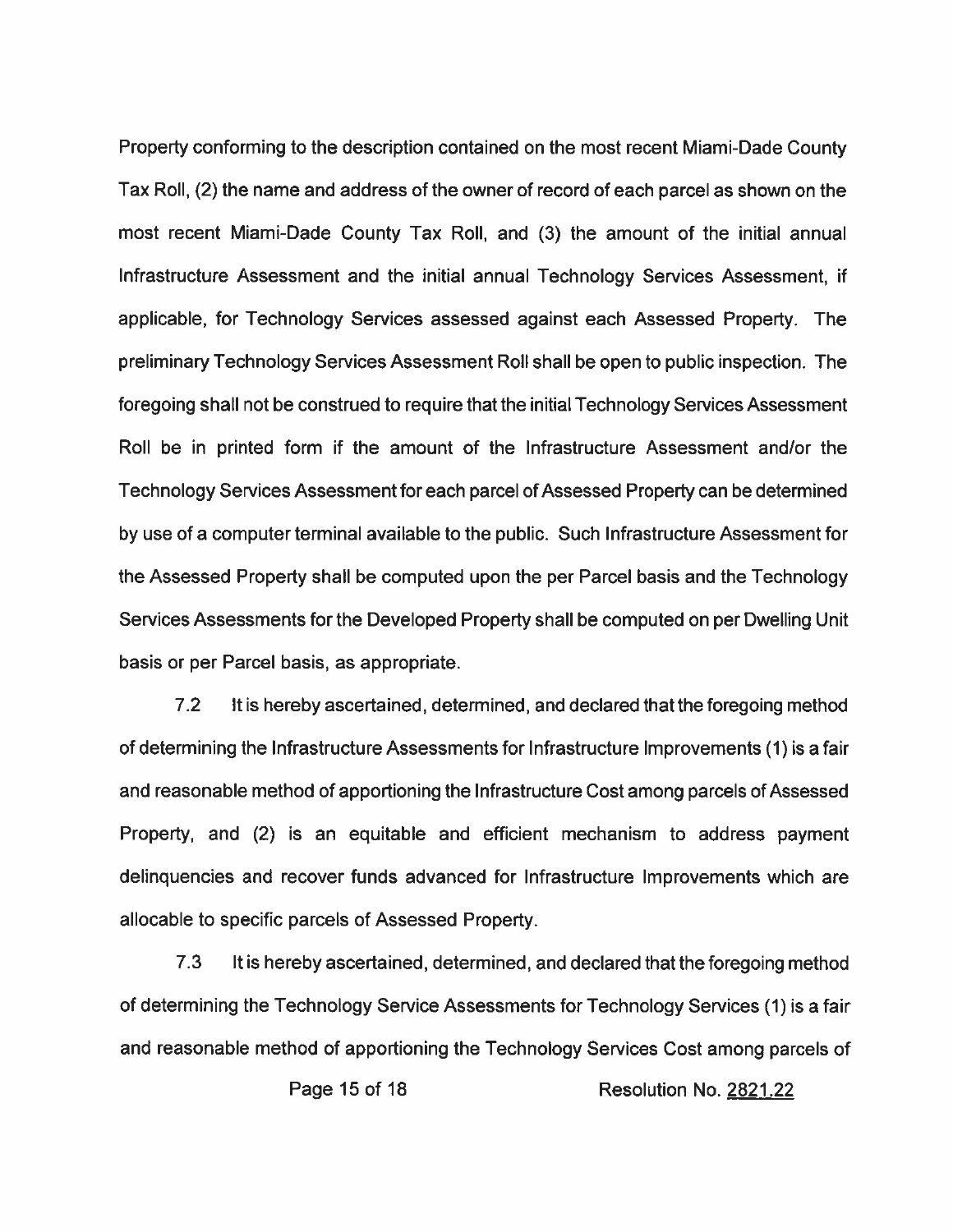Property conforming to the description contained on the most recent Miami-Dade County Tax Roll, (2) the name and address of the owner of record of each parcel as shown on the most recent Miami-Dade County Tax Roll, and (3) the amount of the initial annual Infrastructure Assessment and the initial annual Technology Services Assessment, if applicable, for Technology Services assessed against each Assessed Property. The preliminary Technology Services Assessment Roll shall be open to public inspection. The foregoing shall not be construed to require that the initial Technology Services Assessment Roll be in printed form if the amount of the Infrastructure Assessment and/or the Technology Services Assessment for each parcel of Assessed Property can be determined by use of a computer terminal available to the public. Such Infrastructure Assessment for the Assessed Property shall be computed upon the per Parcel basis and the Technology Services Assessments for the Developed Property shall be computed on per Dwelling Unit basis or per Parcel basis, as appropriate.

 $7.2$ It is hereby ascertained, determined, and declared that the foregoing method of determining the Infrastructure Assessments for Infrastructure Improvements (1) is a fair and reasonable method of apportioning the Infrastructure Cost among parcels of Assessed Property, and (2) is an equitable and efficient mechanism to address payment delinquencies and recover funds advanced for Infrastructure Improvements which are allocable to specific parcels of Assessed Property.

 $7.3$ It is hereby ascertained, determined, and declared that the foregoing method of determining the Technology Service Assessments for Technology Services (1) is a fair and reasonable method of apportioning the Technology Services Cost among parcels of

Page 15 of 18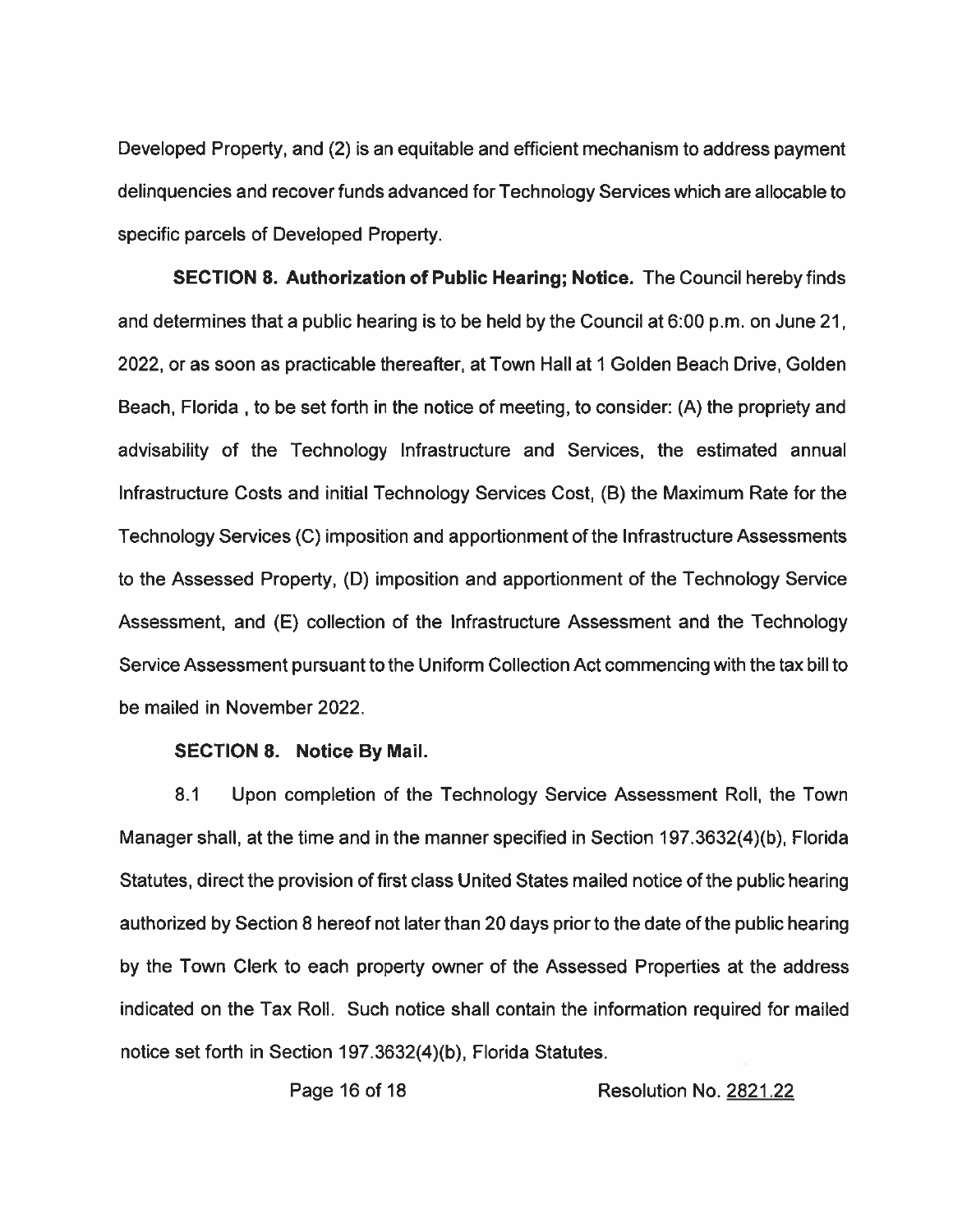Developed Property, and (2) is an equitable and efficient mechanism to address payment delinguencies and recover funds advanced for Technology Services which are allocable to specific parcels of Developed Property.

**SECTION 8. Authorization of Public Hearing; Notice.** The Council hereby finds and determines that a public hearing is to be held by the Council at 6:00 p.m. on June 21, 2022, or as soon as practicable thereafter, at Town Hall at 1 Golden Beach Drive, Golden Beach, Florida, to be set forth in the notice of meeting, to consider: (A) the propriety and advisability of the Technology Infrastructure and Services, the estimated annual Infrastructure Costs and initial Technology Services Cost, (B) the Maximum Rate for the Technology Services (C) imposition and apportionment of the Infrastructure Assessments to the Assessed Property, (D) imposition and apportionment of the Technology Service Assessment, and (E) collection of the Infrastructure Assessment and the Technology Service Assessment pursuant to the Uniform Collection Act commencing with the tax bill to be mailed in November 2022.

#### **SECTION 8. Notice By Mail.**

 $8.1$ Upon completion of the Technology Service Assessment Roll, the Town Manager shall, at the time and in the manner specified in Section 197.3632(4)(b), Florida Statutes, direct the provision of first class United States mailed notice of the public hearing authorized by Section 8 hereof not later than 20 days prior to the date of the public hearing by the Town Clerk to each property owner of the Assessed Properties at the address indicated on the Tax Roll. Such notice shall contain the information required for mailed notice set forth in Section 197.3632(4)(b), Florida Statutes.

Page 16 of 18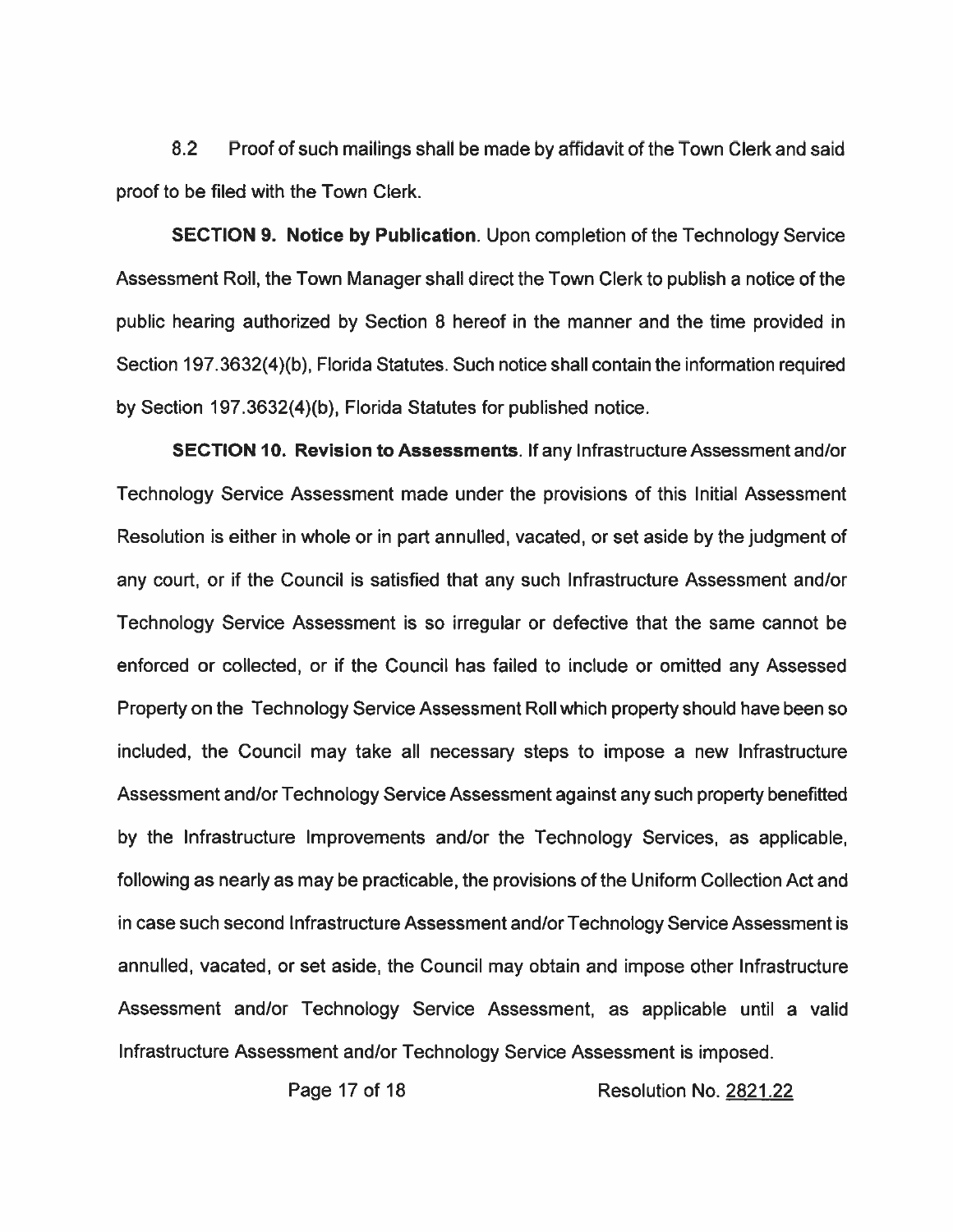$8.2$ Proof of such mailings shall be made by affidavit of the Town Clerk and said proof to be filed with the Town Clerk.

**SECTION 9. Notice by Publication.** Upon completion of the Technology Service Assessment Roll, the Town Manager shall direct the Town Clerk to publish a notice of the public hearing authorized by Section 8 hereof in the manner and the time provided in Section 197.3632(4)(b), Florida Statutes. Such notice shall contain the information required by Section 197.3632(4)(b), Florida Statutes for published notice.

SECTION 10. Revision to Assessments. If any Infrastructure Assessment and/or Technology Service Assessment made under the provisions of this Initial Assessment Resolution is either in whole or in part annulled, vacated, or set aside by the judgment of any court, or if the Council is satisfied that any such Infrastructure Assessment and/or Technology Service Assessment is so irregular or defective that the same cannot be enforced or collected, or if the Council has failed to include or omitted any Assessed Property on the Technology Service Assessment Roll which property should have been so included, the Council may take all necessary steps to impose a new Infrastructure Assessment and/or Technology Service Assessment against any such property benefitted by the Infrastructure Improvements and/or the Technology Services, as applicable, following as nearly as may be practicable, the provisions of the Uniform Collection Act and in case such second Infrastructure Assessment and/or Technology Service Assessment is annulled, vacated, or set aside, the Council may obtain and impose other Infrastructure Assessment and/or Technology Service Assessment, as applicable until a valid Infrastructure Assessment and/or Technology Service Assessment is imposed.

Page 17 of 18